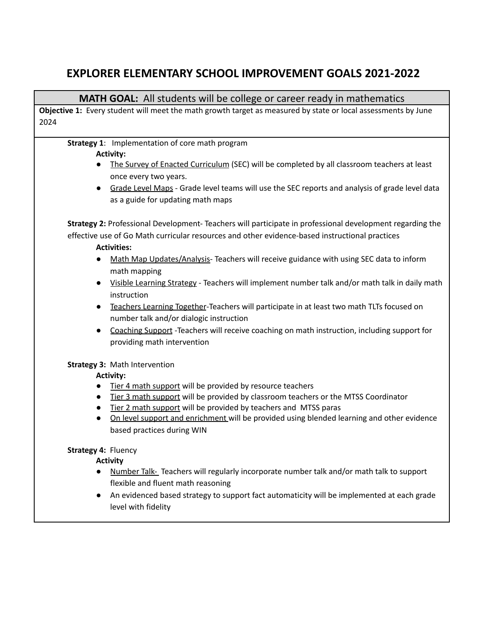# **EXPLORER ELEMENTARY SCHOOL IMPROVEMENT GOALS 2021-2022**

# **MATH GOAL:** All students will be college or career ready in mathematics

**Objective 1:** Every student will meet the math growth target as measured by state or local assessments by June 2024

# **Strategy 1**: Implementation of core math program

#### **Activity:**

- The Survey of Enacted Curriculum (SEC) will be completed by all classroom teachers at least once every two years.
- Grade Level Maps Grade level teams will use the SEC reports and analysis of grade level data as a guide for updating math maps

**Strategy 2:** Professional Development- Teachers will participate in professional development regarding the effective use of Go Math curricular resources and other evidence-based instructional practices

### **Activities:**

- Math Map Updates/Analysis- Teachers will receive guidance with using SEC data to inform math mapping
- Visible Learning Strategy Teachers will implement number talk and/or math talk in daily math instruction
- Teachers Learning Together-Teachers will participate in at least two math TLTs focused on number talk and/or dialogic instruction
- Coaching Support -Teachers will receive coaching on math instruction, including support for providing math intervention

## **Strategy 3:** Math Intervention

## **Activity:**

- Tier 4 math support will be provided by resource teachers
- Tier 3 math support will be provided by classroom teachers or the MTSS Coordinator
- Tier 2 math support will be provided by teachers and MTSS paras
- On level support and enrichment will be provided using blended learning and other evidence based practices during WIN

## **Strategy 4:** Fluency

**Activity**

- Number Talk- Teachers will regularly incorporate number talk and/or math talk to support flexible and fluent math reasoning
- An evidenced based strategy to support fact automaticity will be implemented at each grade level with fidelity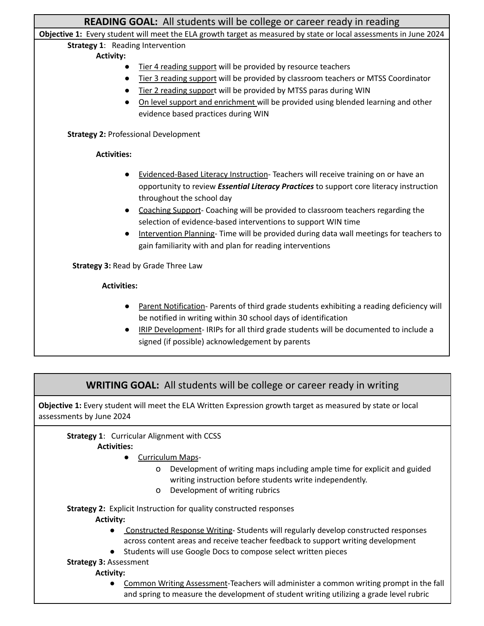| <b>READING GOAL:</b> All students will be college or career ready in reading                                                            |                                                                                                |  |
|-----------------------------------------------------------------------------------------------------------------------------------------|------------------------------------------------------------------------------------------------|--|
| Objective 1: Every student will meet the ELA growth target as measured by state or local assessments in June 2024                       |                                                                                                |  |
| <b>Strategy 1: Reading Intervention</b>                                                                                                 |                                                                                                |  |
| <b>Activity:</b>                                                                                                                        |                                                                                                |  |
|                                                                                                                                         | Tier 4 reading support will be provided by resource teachers                                   |  |
|                                                                                                                                         | Tier 3 reading support will be provided by classroom teachers or MTSS Coordinator              |  |
|                                                                                                                                         | Tier 2 reading support will be provided by MTSS paras during WIN                               |  |
|                                                                                                                                         | On level support and enrichment will be provided using blended learning and other              |  |
|                                                                                                                                         | evidence based practices during WIN                                                            |  |
| <b>Strategy 2: Professional Development</b>                                                                                             |                                                                                                |  |
| <b>Activities:</b>                                                                                                                      |                                                                                                |  |
|                                                                                                                                         | Evidenced-Based Literacy Instruction- Teachers will receive training on or have an             |  |
|                                                                                                                                         | opportunity to review <i>Essential Literacy Practices</i> to support core literacy instruction |  |
|                                                                                                                                         | throughout the school day                                                                      |  |
|                                                                                                                                         |                                                                                                |  |
|                                                                                                                                         | Coaching Support- Coaching will be provided to classroom teachers regarding the                |  |
|                                                                                                                                         | selection of evidence-based interventions to support WIN time                                  |  |
|                                                                                                                                         | Intervention Planning- Time will be provided during data wall meetings for teachers to         |  |
|                                                                                                                                         | gain familiarity with and plan for reading interventions                                       |  |
| <b>Strategy 3: Read by Grade Three Law</b>                                                                                              |                                                                                                |  |
| <b>Activities:</b>                                                                                                                      |                                                                                                |  |
|                                                                                                                                         | Parent Notification- Parents of third grade students exhibiting a reading deficiency will      |  |
|                                                                                                                                         | be notified in writing within 30 school days of identification                                 |  |
|                                                                                                                                         | IRIP Development-IRIPs for all third grade students will be documented to include a            |  |
|                                                                                                                                         | signed (if possible) acknowledgement by parents                                                |  |
|                                                                                                                                         |                                                                                                |  |
|                                                                                                                                         |                                                                                                |  |
| <b>WRITING GOAL:</b> All students will be college or career ready in writing                                                            |                                                                                                |  |
| Objective 1: Every student will meet the ELA Written Expression growth target as measured by state or local<br>assessments by June 2024 |                                                                                                |  |
| <b>Strategy 1: Curricular Alignment with CCSS</b>                                                                                       |                                                                                                |  |

**Activities:**

- Curriculum Maps
	- o Development of writing maps including ample time for explicit and guided writing instruction before students write independently.
	- o Development of writing rubrics

**Strategy 2:** Explicit Instruction for quality constructed responses

#### **Activity:**

- Constructed Response Writing- Students will regularly develop constructed responses across content areas and receive teacher feedback to support writing development
- Students will use Google Docs to compose select written pieces
- **Strategy 3:** Assessment

#### **Activity:**

● Common Writing Assessment-Teachers will administer a common writing prompt in the fall and spring to measure the development of student writing utilizing a grade level rubric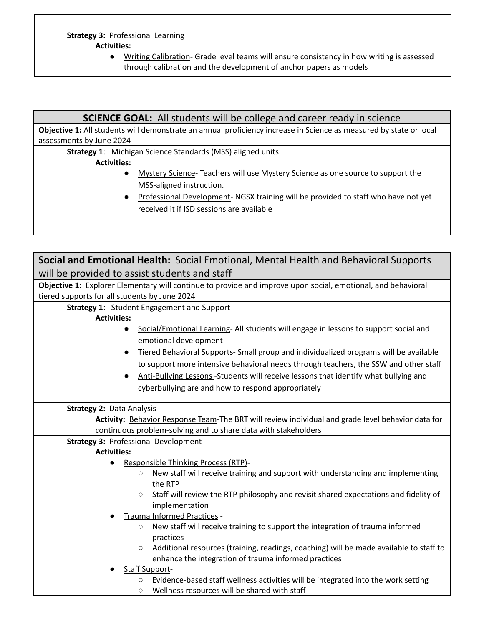● Writing Calibration- Grade level teams will ensure consistency in how writing is assessed through calibration and the development of anchor papers as models

# **SCIENCE GOAL:** All students will be college and career ready in science

**Objective 1:** All students will demonstrate an annual proficiency increase in Science as measured by state or local assessments by June 2024

**Strategy 1**: Michigan Science Standards (MSS) aligned units

### **Activities:**

- Mystery Science- Teachers will use Mystery Science as one source to support the MSS-aligned instruction.
- Professional Development- NGSX training will be provided to staff who have not yet received it if ISD sessions are available

| Social and Emotional Health: Social Emotional, Mental Health and Behavioral Supports                         |                                                                                        |  |
|--------------------------------------------------------------------------------------------------------------|----------------------------------------------------------------------------------------|--|
| will be provided to assist students and staff                                                                |                                                                                        |  |
| Objective 1: Explorer Elementary will continue to provide and improve upon social, emotional, and behavioral |                                                                                        |  |
| tiered supports for all students by June 2024                                                                |                                                                                        |  |
| <b>Strategy 1: Student Engagement and Support</b>                                                            |                                                                                        |  |
| <b>Activities:</b>                                                                                           |                                                                                        |  |
|                                                                                                              | Social/Emotional Learning- All students will engage in lessons to support social and   |  |
|                                                                                                              | emotional development                                                                  |  |
|                                                                                                              | Tiered Behavioral Supports- Small group and individualized programs will be available  |  |
|                                                                                                              | to support more intensive behavioral needs through teachers, the SSW and other staff   |  |
|                                                                                                              | Anti-Bullying Lessons -Students will receive lessons that identify what bullying and   |  |
|                                                                                                              | cyberbullying are and how to respond appropriately                                     |  |
|                                                                                                              |                                                                                        |  |
| <b>Strategy 2: Data Analysis</b>                                                                             |                                                                                        |  |
| Activity: Behavior Response Team-The BRT will review individual and grade level behavior data for            |                                                                                        |  |
| continuous problem-solving and to share data with stakeholders                                               |                                                                                        |  |
| <b>Strategy 3: Professional Development</b>                                                                  |                                                                                        |  |
| <b>Activities:</b>                                                                                           |                                                                                        |  |
| $\bullet$                                                                                                    | Responsible Thinking Process (RTP)-                                                    |  |
| $\circ$                                                                                                      | New staff will receive training and support with understanding and implementing        |  |
|                                                                                                              | the RTP                                                                                |  |
| $\circ$                                                                                                      | Staff will review the RTP philosophy and revisit shared expectations and fidelity of   |  |
|                                                                                                              | implementation<br>Trauma Informed Practices -                                          |  |
| $\circ$                                                                                                      | New staff will receive training to support the integration of trauma informed          |  |
|                                                                                                              | practices                                                                              |  |
| $\circ$                                                                                                      | Additional resources (training, readings, coaching) will be made available to staff to |  |
|                                                                                                              | enhance the integration of trauma informed practices                                   |  |
| <b>Staff Support-</b>                                                                                        |                                                                                        |  |
| $\circ$                                                                                                      | Evidence-based staff wellness activities will be integrated into the work setting      |  |
| $\circ$                                                                                                      | Wellness resources will be shared with staff                                           |  |